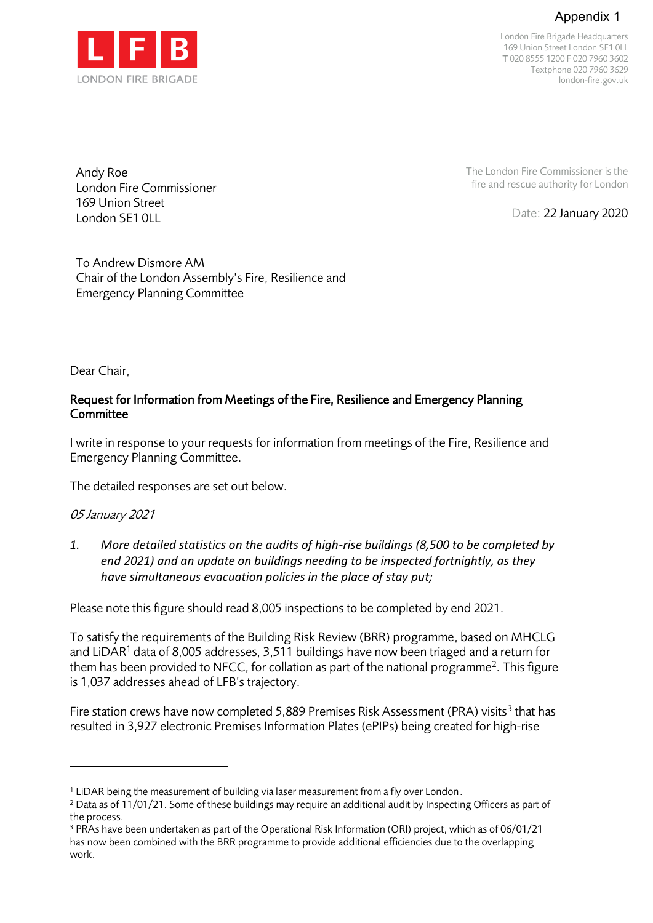# Appendix 1



London Fire Brigade Headquarters 169 Union Street London SE1 0LL T 020 8555 1200 F 020 7960 3602 Textphone 020 7960 3629 london-fire.gov.uk

The London Fire Commissioner is the fire and rescue authority for London

Date: 22 January 2020

Andy Roe London Fire Commissioner 169 Union Street London SF1 0LL

To Andrew Dismore AM Chair of the London Assembly's Fire, Resilience and Emergency Planning Committee

Dear Chair,

# Request for Information from Meetings of the Fire, Resilience and Emergency Planning **Committee**

I write in response to your requests for information from meetings of the Fire, Resilience and Emergency Planning Committee.

The detailed responses are set out below.

# 05 January 2021

*1. More detailed statistics on the audits of high-rise buildings (8,500 to be completed by end 2021) and an update on buildings needing to be inspected fortnightly, as they have simultaneous evacuation policies in the place of stay put;* 

Please note this figure should read 8,005 inspections to be completed by end 2021.

To satisfy the requirements of the Building Risk Review (BRR) programme, based on MHCLG and LiDAR<sup>1</sup> data of 8,005 addresses, 3,511 buildings have now been triaged and a return for them has been provided to NFCC, for collation as part of the national programme<sup>2</sup>. This figure is 1,037 addresses ahead of LFB's trajectory.

Fire station crews have now completed 5,889 Premises Risk Assessment (PRA) visits<sup>3</sup> that has resulted in 3,927 electronic Premises Information Plates (ePIPs) being created for high-rise

<sup>&</sup>lt;sup>1</sup> LiDAR being the measurement of building via laser measurement from a fly over London.

 $2$  Data as of 11/01/21. Some of these buildings may require an additional audit by Inspecting Officers as part of the process.

<sup>3</sup> PRAs have been undertaken as part of the Operational Risk Information (ORI) project, which as of 06/01/21 has now been combined with the BRR programme to provide additional efficiencies due to the overlapping work.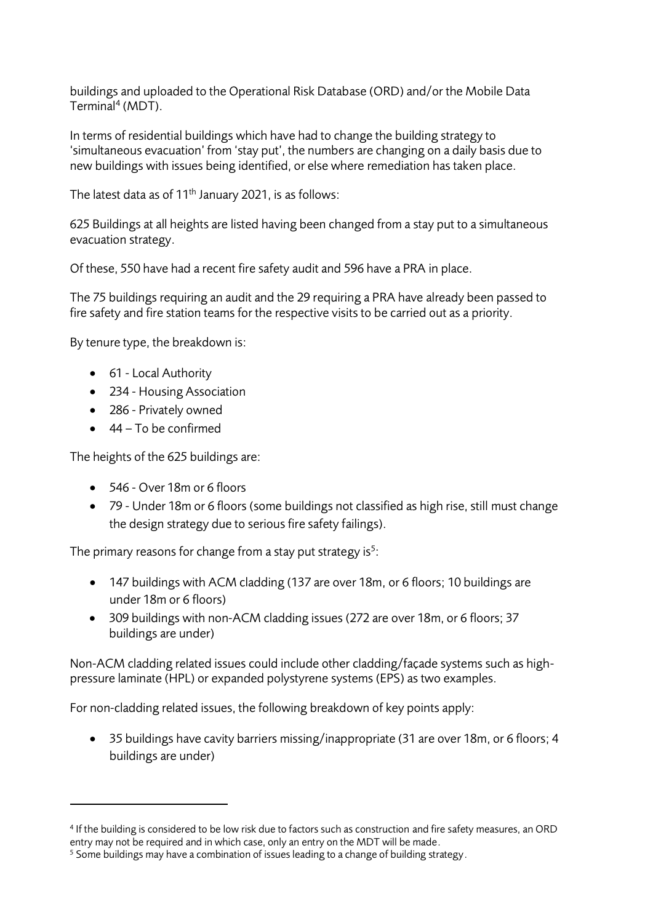buildings and uploaded to the Operational Risk Database (ORD) and/or the Mobile Data Terminal<sup>4</sup> (MDT).

In terms of residential buildings which have had to change the building strategy to 'simultaneous evacuation' from 'stay put', the numbers are changing on a daily basis due to new buildings with issues being identified, or else where remediation has taken place.

The latest data as of 11<sup>th</sup> January 2021, is as follows:

625 Buildings at all heights are listed having been changed from a stay put to a simultaneous evacuation strategy.

Of these, 550 have had a recent fire safety audit and 596 have a PRA in place.

The 75 buildings requiring an audit and the 29 requiring a PRA have already been passed to fire safety and fire station teams for the respective visits to be carried out as a priority.

By tenure type, the breakdown is:

- 61 Local Authority
- 234 Housing Association
- 286 Privately owned
- 44 To be confirmed

The heights of the 625 buildings are:

- 546 Over 18m or 6 floors
- 79 Under 18m or 6 floors (some buildings not classified as high rise, still must change the design strategy due to serious fire safety failings).

The primary reasons for change from a stay put strategy is<sup>5</sup>:

- 147 buildings with ACM cladding (137 are over 18m, or 6 floors; 10 buildings are under 18m or 6 floors)
- 309 buildings with non-ACM cladding issues (272 are over 18m, or 6 floors; 37 buildings are under)

Non-ACM cladding related issues could include other cladding/façade systems such as highpressure laminate (HPL) or expanded polystyrene systems (EPS) as two examples.

For non-cladding related issues, the following breakdown of key points apply:

• 35 buildings have cavity barriers missing/inappropriate (31 are over 18m, or 6 floors; 4 buildings are under)

<sup>4</sup> If the building is considered to be low risk due to factors such as construction and fire safety measures, an ORD entry may not be required and in which case, only an entry on the MDT will be made.

 $5$  Some buildings may have a combination of issues leading to a change of building strategy.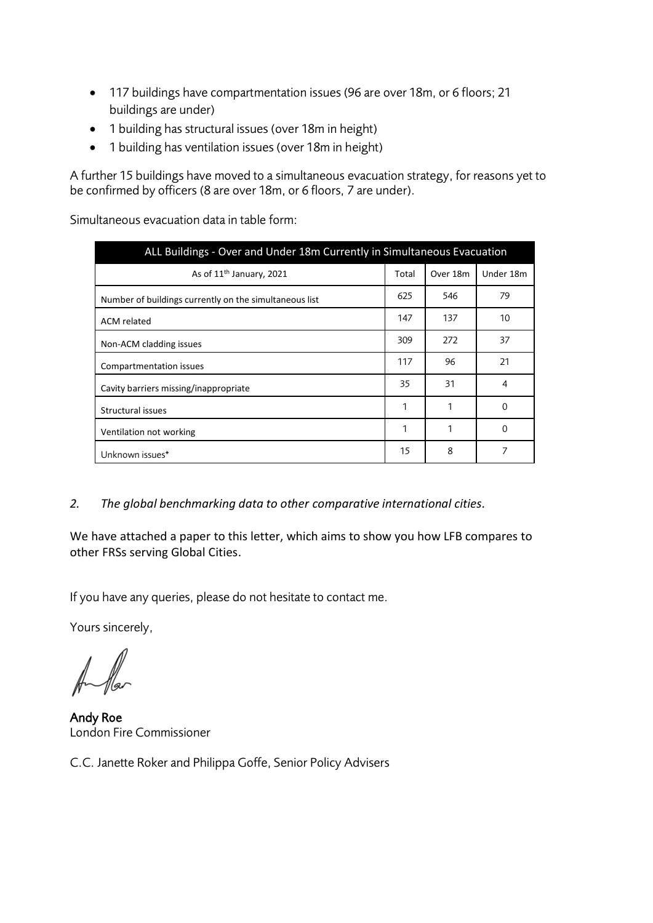- 117 buildings have compartmentation issues (96 are over 18m, or 6 floors; 21 buildings are under)
- 1 building has structural issues (over 18m in height)
- 1 building has ventilation issues (over 18m in height)

A further 15 buildings have moved to a simultaneous evacuation strategy, for reasons yet to be confirmed by officers (8 are over 18m, or 6 floors, 7 are under).

Simultaneous evacuation data in table form:

| ALL Buildings - Over and Under 18m Currently in Simultaneous Evacuation |       |          |           |  |  |  |
|-------------------------------------------------------------------------|-------|----------|-----------|--|--|--|
| As of 11 <sup>th</sup> January, 2021                                    | Total | Over 18m | Under 18m |  |  |  |
| Number of buildings currently on the simultaneous list                  | 625   | 546      | 79        |  |  |  |
| ACM related                                                             | 147   | 137      | 10        |  |  |  |
| Non-ACM cladding issues                                                 | 309   | 272      | 37        |  |  |  |
| Compartmentation issues                                                 | 117   | 96       | 21        |  |  |  |
| Cavity barriers missing/inappropriate                                   | 35    | 31       | 4         |  |  |  |
| Structural issues                                                       | 1     | 1        | $\Omega$  |  |  |  |
| Ventilation not working                                                 | 1     |          | 0         |  |  |  |
| Unknown issues*                                                         | 15    | 8        | 7         |  |  |  |

*2. The global benchmarking data to other comparative international cities.*

We have attached a paper to this letter, which aims to show you how LFB compares to other FRSs serving Global Cities.

If you have any queries, please do not hesitate to contact me.

Yours sincerely,

Andy Roe London Fire Commissioner

C.C. Janette Roker and Philippa Goffe, Senior Policy Advisers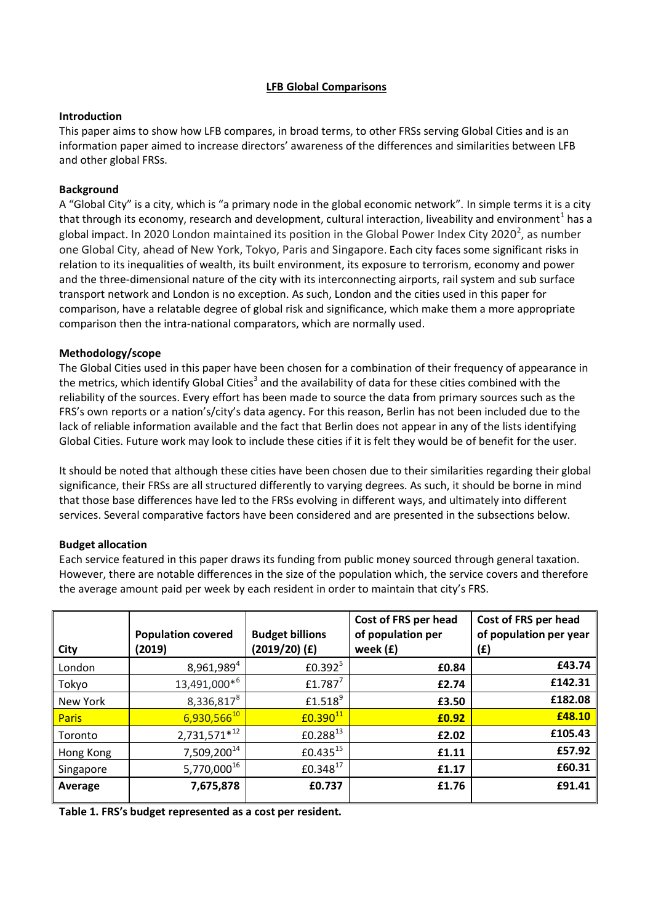# **LFB Global Comparisons**

#### **Introduction**

This paper aims to show how LFB compares, in broad terms, to other FRSs serving Global Cities and is an information paper aimed to increase directors' awareness of the differences and similarities between LFB and other global FRSs.

### **Background**

A "Global City" is a city, which is "a primary node in the global economic network". In simple terms it is a city that through its economy, research and development, cultural interaction, liveability and environment<sup>1</sup> has a global impact. In 2020 London maintained its position in the Global Power Index City 2020<sup>2</sup>, as number one Global City, ahead of New York, Tokyo, Paris and Singapore. Each city faces some significant risks in relation to its inequalities of wealth, its built environment, its exposure to terrorism, economy and power and the three-dimensional nature of the city with its interconnecting airports, rail system and sub surface transport network and London is no exception. As such, London and the cities used in this paper for comparison, have a relatable degree of global risk and significance, which make them a more appropriate comparison then the intra-national comparators, which are normally used.

### **Methodology/scope**

The Global Cities used in this paper have been chosen for a combination of their frequency of appearance in the metrics, which identify Global Cities<sup>3</sup> and the availability of data for these cities combined with the reliability of the sources. Every effort has been made to source the data from primary sources such as the FRS's own reports or a nation's/city's data agency. For this reason, Berlin has not been included due to the lack of reliable information available and the fact that Berlin does not appear in any of the lists identifying Global Cities. Future work may look to include these cities if it is felt they would be of benefit for the user.

It should be noted that although these cities have been chosen due to their similarities regarding their global significance, their FRSs are all structured differently to varying degrees. As such, it should be borne in mind that those base differences have led to the FRSs evolving in different ways, and ultimately into different services. Several comparative factors have been considered and are presented in the subsections below.

#### **Budget allocation**

Each service featured in this paper draws its funding from public money sourced through general taxation. However, there are notable differences in the size of the population which, the service covers and therefore the average amount paid per week by each resident in order to maintain that city's FRS.

| City         | <b>Population covered</b><br>(2019) | <b>Budget billions</b><br>$(2019/20)$ (£) | Cost of FRS per head<br>of population per<br>week (£) | Cost of FRS per head<br>of population per year<br>(£) |
|--------------|-------------------------------------|-------------------------------------------|-------------------------------------------------------|-------------------------------------------------------|
| London       | $8,961,989^{4}$                     | £0.392 $5$                                | £0.84                                                 | £43.74                                                |
| Tokyo        | 13,491,000*6                        | £1.787 $^7$                               | £2.74                                                 | £142.31                                               |
| New York     | 8,336,8178                          | £1.518 <sup>9</sup>                       | £3.50                                                 | £182.08                                               |
| <b>Paris</b> | $6,930,566^{10}$                    | $E0.390^{11}$                             | £0.92                                                 | £48.10                                                |
| Toronto      | $2,731,571^{*12}$                   | $£0.288^{13}$                             | £2.02                                                 | £105.43                                               |
| Hong Kong    | 7,509,200 <sup>14</sup>             | $£0.435^{15}$                             | £1.11                                                 | £57.92                                                |
| Singapore    | 5,770,00016                         | $£0.348^{17}$                             | £1.17                                                 | £60.31                                                |
| Average      | 7,675,878                           | £0.737                                    | £1.76                                                 | £91.41                                                |

**Table 1. FRS's budget represented as a cost per resident.**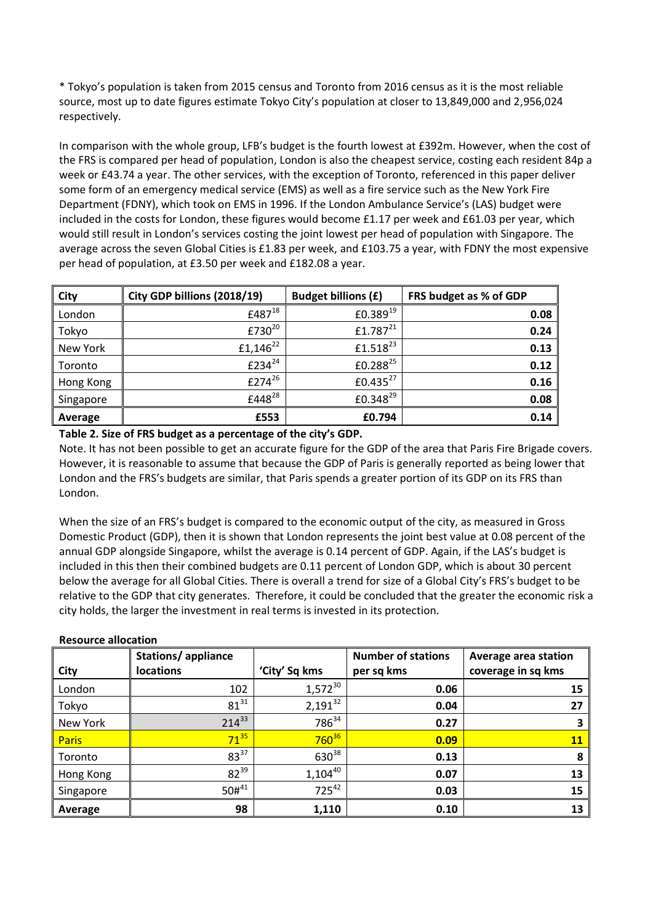\* Tokyo's population is taken from 2015 census and Toronto from 2016 census as it is the most reliable source, most up to date figures estimate Tokyo City's population at closer to 13,849,000 and 2,956,024 respectively.

In comparison with the whole group, LFB's budget is the fourth lowest at £392m. However, when the cost of the FRS is compared per head of population, London is also the cheapest service, costing each resident 84p a week or £43.74 a year. The other services, with the exception of Toronto, referenced in this paper deliver some form of an emergency medical service (EMS) as well as a fire service such as the New York Fire Department (FDNY), which took on EMS in 1996. If the London Ambulance Service's (LAS) budget were included in the costs for London, these figures would become £1.17 per week and £61.03 per year, which would still result in London's services costing the joint lowest per head of population with Singapore. The average across the seven Global Cities is £1.83 per week, and £103.75 a year, with FDNY the most expensive per head of population, at £3.50 per week and £182.08 a year.

| City      | City GDP billions (2018/19) | <b>Budget billions (£)</b> | FRS budget as % of GDP |
|-----------|-----------------------------|----------------------------|------------------------|
| London    | £487 <sup>18</sup>          | $£0.389^{19}$              | 0.08                   |
| Tokyo     | £730 <sup>20</sup>          | $£1.787^{21}$              | 0.24                   |
| New York  | £1,146 $^{22}$              | $£1.518^{23}$              | 0.13                   |
| Toronto   | £234 $^{24}$                | £0.288 <sup>25</sup>       | 0.12                   |
| Hong Kong | £274 <sup>26</sup>          | £0.435 $^{27}$             | 0.16                   |
| Singapore | £448 <sup>28</sup>          | £0.348 <sup>29</sup>       | 0.08                   |
| Average   | £553                        | £0.794                     | 0.14                   |

**Table 2. Size of FRS budget as a percentage of the city's GDP.** 

Note. It has not been possible to get an accurate figure for the GDP of the area that Paris Fire Brigade covers. However, it is reasonable to assume that because the GDP of Paris is generally reported as being lower that London and the FRS's budgets are similar, that Paris spends a greater portion of its GDP on its FRS than London.

When the size of an FRS's budget is compared to the economic output of the city, as measured in Gross Domestic Product (GDP), then it is shown that London represents the joint best value at 0.08 percent of the annual GDP alongside Singapore, whilst the average is 0.14 percent of GDP. Again, if the LAS's budget is included in this then their combined budgets are 0.11 percent of London GDP, which is about 30 percent below the average for all Global Cities. There is overall a trend for size of a Global City's FRS's budget to be relative to the GDP that city generates. Therefore, it could be concluded that the greater the economic risk a city holds, the larger the investment in real terms is invested in its protection.

| City         | Stations/appliance<br><b>locations</b> | 'City' Sq kms     | <b>Number of stations</b><br>per sq kms | Average area station<br>coverage in sq kms |
|--------------|----------------------------------------|-------------------|-----------------------------------------|--------------------------------------------|
| London       | 102                                    | $1,572^{30}$      | 0.06                                    | 15                                         |
| Tokyo        | $81^{31}$                              | $2,191^{32}$      | 0.04                                    | 27                                         |
| New York     | $214^{33}$                             | 786 <sup>34</sup> | 0.27                                    | 3                                          |
| <b>Paris</b> | $71^{35}$                              | $760^{36}$        | 0.09                                    | <b>11</b>                                  |
| Toronto      | $83^{37}$                              | $630^{38}$        | 0.13                                    | 8                                          |
| Hong Kong    | $82^{39}$                              | $1,104^{40}$      | 0.07                                    | 13                                         |
| Singapore    | $50\#^{41}$                            | $725^{42}$        | 0.03                                    | 15                                         |
| Average      | 98                                     | 1,110             | 0.10                                    | 13                                         |

#### **Resource allocation**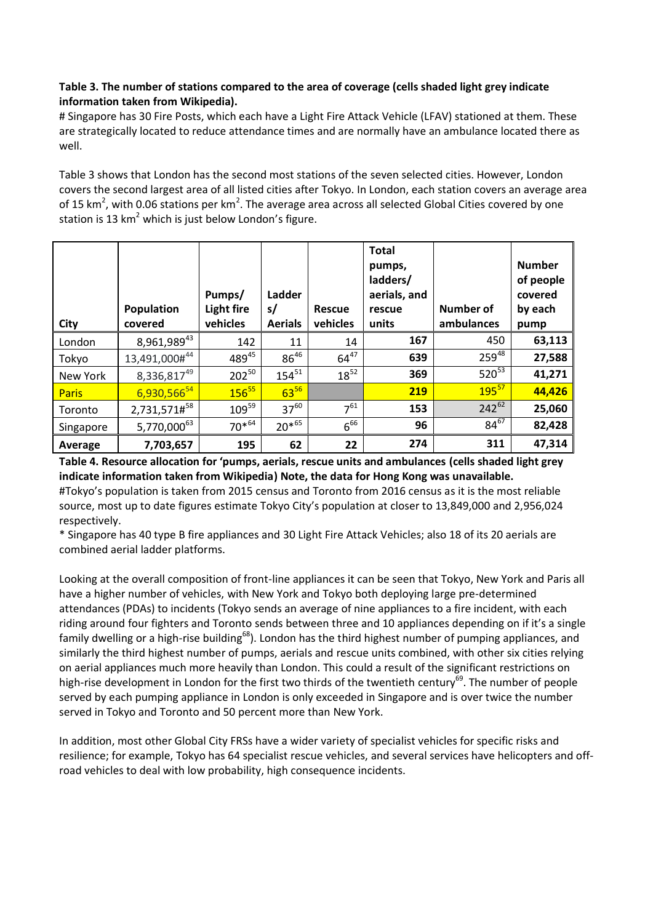# **Table 3. The number of stations compared to the area of coverage (cells shaded light grey indicate information taken from Wikipedia).**

# Singapore has 30 Fire Posts, which each have a Light Fire Attack Vehicle (LFAV) stationed at them. These are strategically located to reduce attendance times and are normally have an ambulance located there as well.

Table 3 shows that London has the second most stations of the seven selected cities. However, London covers the second largest area of all listed cities after Tokyo. In London, each station covers an average area of 15 km<sup>2</sup>, with 0.06 stations per km<sup>2</sup>. The average area across all selected Global Cities covered by one station is 13  $km^2$  which is just below London's figure.

| City         | Population<br>covered | Pumps/<br><b>Light fire</b><br>vehicles | Ladder<br>s/<br><b>Aerials</b> | <b>Rescue</b><br>vehicles | <b>Total</b><br>pumps,<br>ladders/<br>aerials, and<br>rescue<br>units | <b>Number of</b><br>ambulances | <b>Number</b><br>of people<br>covered<br>by each<br>pump |
|--------------|-----------------------|-----------------------------------------|--------------------------------|---------------------------|-----------------------------------------------------------------------|--------------------------------|----------------------------------------------------------|
| London       | 8,961,98943           | 142                                     | 11                             | 14                        | 167                                                                   | 450                            | 63,113                                                   |
| Tokyo        | 13,491,000#44         | $489^{45}$                              | $86^{46}$                      | $64^{47}$                 | 639                                                                   | $259^{48}$                     | 27,588                                                   |
| New York     | 8,336,81749           | $202^{50}$                              | $154^{51}$                     | $18^{52}$                 | 369                                                                   | $520^{53}$                     | 41,271                                                   |
| <b>Paris</b> | 6,930,56654           | $156^{55}$                              | $63^{56}$                      |                           | 219                                                                   | $195^{57}$                     | 44,426                                                   |
| Toronto      | 2,731,571#58          | $109^{59}$                              | $37^{60}$                      | $7^{61}$                  | 153                                                                   | $242^{62}$                     | 25,060                                                   |
| Singapore    | $5,770,000^{63}$      | $70^{*64}$                              | $20*^{65}$                     | $6^{66}$                  | 96                                                                    | $84^{67}$                      | 82,428                                                   |
| Average      | 7,703,657             | 195                                     | 62                             | 22                        | 274                                                                   | 311                            | 47,314                                                   |

**Table 4. Resource allocation for 'pumps, aerials, rescue units and ambulances (cells shaded light grey indicate information taken from Wikipedia) Note, the data for Hong Kong was unavailable.**

#Tokyo's population is taken from 2015 census and Toronto from 2016 census as it is the most reliable source, most up to date figures estimate Tokyo City's population at closer to 13,849,000 and 2,956,024 respectively.

\* Singapore has 40 type B fire appliances and 30 Light Fire Attack Vehicles; also 18 of its 20 aerials are combined aerial ladder platforms.

Looking at the overall composition of front-line appliances it can be seen that Tokyo, New York and Paris all have a higher number of vehicles, with New York and Tokyo both deploying large pre-determined attendances (PDAs) to incidents (Tokyo sends an average of nine appliances to a fire incident, with each riding around four fighters and Toronto sends between three and 10 appliances depending on if it's a single family dwelling or a high-rise building<sup>68</sup>). London has the third highest number of pumping appliances, and similarly the third highest number of pumps, aerials and rescue units combined, with other six cities relying on aerial appliances much more heavily than London. This could a result of the significant restrictions on high-rise development in London for the first two thirds of the twentieth century<sup>69</sup>. The number of people served by each pumping appliance in London is only exceeded in Singapore and is over twice the number served in Tokyo and Toronto and 50 percent more than New York.

In addition, most other Global City FRSs have a wider variety of specialist vehicles for specific risks and resilience; for example, Tokyo has 64 specialist rescue vehicles, and several services have helicopters and offroad vehicles to deal with low probability, high consequence incidents.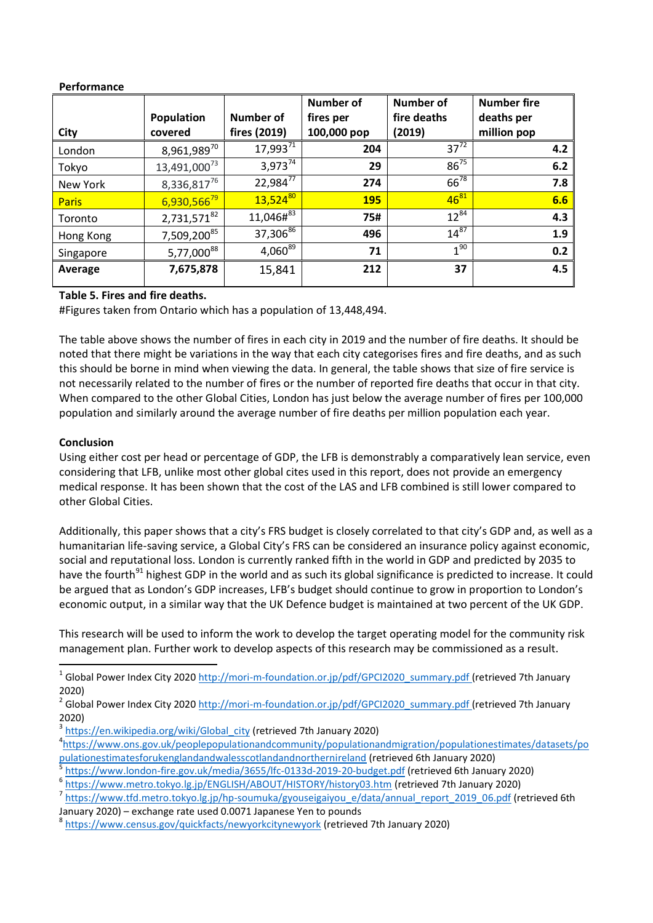### **Performance**

|              |                          |                  | <b>Number of</b> | <b>Number of</b> | <b>Number fire</b> |
|--------------|--------------------------|------------------|------------------|------------------|--------------------|
|              | Population               | <b>Number of</b> | fires per        | fire deaths      | deaths per         |
| City         | covered                  | fires (2019)     | 100,000 pop      | (2019)           | million pop        |
| London       | $8,961,989^{70}$         | 17,99371         | 204              | $37^{72}$        | 4.2                |
| Tokyo        | 13,491,000 <sup>73</sup> | $3.973^{74}$     | 29               | $86^{75}$        | 6.2                |
| New York     | 8,336,81776              | $22,984^{77}$    | 274              | $66^{78}$        | 7.8                |
| <b>Paris</b> | 6,930,56679              | $13,524^{80}$    | <b>195</b>       | $46^{81}$        | 6.6                |
| Toronto      | 2,731,57182              | $11,046\#^{83}$  | 75#              | $12^{84}$        | 4.3                |
| Hong Kong    | 7,509,200 <sup>85</sup>  | 37,30686         | 496              | $14^{87}$        | 1.9                |
| Singapore    | 5,77,000 <sup>88</sup>   | $4,060^{89}$     | 71               | 1 <sup>90</sup>  | 0.2                |
| Average      | 7,675,878                | 15,841           | 212              | 37               | 4.5                |

# **Table 5. Fires and fire deaths.**

#Figures taken from Ontario which has a population of 13,448,494.

The table above shows the number of fires in each city in 2019 and the number of fire deaths. It should be noted that there might be variations in the way that each city categorises fires and fire deaths, and as such this should be borne in mind when viewing the data. In general, the table shows that size of fire service is not necessarily related to the number of fires or the number of reported fire deaths that occur in that city. When compared to the other Global Cities, London has just below the average number of fires per 100,000 population and similarly around the average number of fire deaths per million population each year.

# **Conclusion**

Using either cost per head or percentage of GDP, the LFB is demonstrably a comparatively lean service, even considering that LFB, unlike most other global cites used in this report, does not provide an emergency medical response. It has been shown that the cost of the LAS and LFB combined is still lower compared to other Global Cities.

Additionally, this paper shows that a city's FRS budget is closely correlated to that city's GDP and, as well as a humanitarian life-saving service, a Global City's FRS can be considered an insurance policy against economic, social and reputational loss. London is currently ranked fifth in the world in GDP and predicted by 2035 to have the fourth<sup>91</sup> highest GDP in the world and as such its global significance is predicted to increase. It could be argued that as London's GDP increases, LFB's budget should continue to grow in proportion to London's economic output, in a similar way that the UK Defence budget is maintained at two percent of the UK GDP.

This research will be used to inform the work to develop the target operating model for the community risk management plan. Further work to develop aspects of this research may be commissioned as a result.

3 [https://en.wikipedia.org/wiki/Global\\_city](https://en.wikipedia.org/wiki/Global_city) (retrieved 7th January 2020)

5 <https://www.london-fire.gov.uk/media/3655/lfc-0133d-2019-20-budget.pdf> (retrieved 6th January 2020)

<sup>&</sup>lt;sup>1</sup> Global Power Index City 2020 [http://mori-m-foundation.or.jp/pdf/GPCI2020\\_summary.pdf](http://mori-m-foundation.or.jp/pdf/GPCI2020_summary.pdf) (retrieved 7th January 2020)

<sup>&</sup>lt;sup>2</sup> Global Power Index City 2020 [http://mori-m-foundation.or.jp/pdf/GPCI2020\\_summary.pdf](http://mori-m-foundation.or.jp/pdf/GPCI2020_summary.pdf) (retrieved 7th January 2020)

<sup>4</sup> [https://www.ons.gov.uk/peoplepopulationandcommunity/populationandmigration/populationestimates/datasets/po](https://www.ons.gov.uk/peoplepopulationandcommunity/populationandmigration/populationestimates/datasets/populationestimatesforukenglandandwalesscotlandandnorthernireland) [pulationestimatesforukenglandandwalesscotlandandnorthernireland](https://www.ons.gov.uk/peoplepopulationandcommunity/populationandmigration/populationestimates/datasets/populationestimatesforukenglandandwalesscotlandandnorthernireland) (retrieved 6th January 2020)

<sup>6</sup> <https://www.metro.tokyo.lg.jp/ENGLISH/ABOUT/HISTORY/history03.htm> (retrieved 7th January 2020)

<sup>&</sup>lt;sup>7</sup> [https://www.tfd.metro.tokyo.lg.jp/hp-soumuka/gyouseigaiyou\\_e/data/annual\\_report\\_2019\\_06.pdf](https://www.tfd.metro.tokyo.lg.jp/hp-soumuka/gyouseigaiyou_e/data/annual_report_2019_06.pdf) (retrieved 6th January 2020) – exchange rate used 0.0071 Japanese Yen to pounds

<sup>&</sup>lt;sup>8</sup> <https://www.census.gov/quickfacts/newyorkcitynewyork> (retrieved 7th January 2020)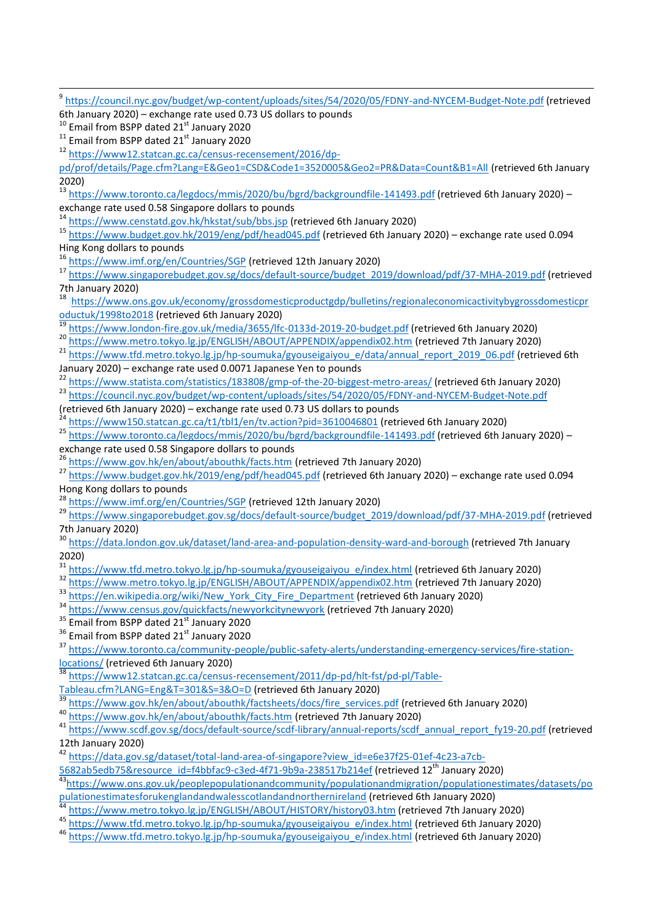9 <https://council.nyc.gov/budget/wp-content/uploads/sites/54/2020/05/FDNY-and-NYCEM-Budget-Note.pdf> (retrieved 6th January 2020) – exchange rate used 0.73 US dollars to pounds <sup>10</sup> Email from BSPP dated 21<sup>st</sup> January 2020  $11$  Email from BSPP dated 21st January 2020 <sup>12</sup> [https://www12.statcan.gc.ca/census-recensement/2016/dp](https://www12.statcan.gc.ca/census-recensement/2016/dp-%20pd/prof/details/Page.cfm?Lang=E&Geo1=CSD&Code1=3520005&Geo2=PR&Data=Count&B1=All)[pd/prof/details/Page.cfm?Lang=E&Geo1=CSD&Code1=3520005&Geo2=PR&Data=Count&B1=All](https://www12.statcan.gc.ca/census-recensement/2016/dp-%20pd/prof/details/Page.cfm?Lang=E&Geo1=CSD&Code1=3520005&Geo2=PR&Data=Count&B1=All) (retrieved 6th January 2020) 13 https://www.toronto.ca/legdocs/<u>mmis/2020/bu/bgrd/backgroundfile-141493.pdf</u> (retrieved 6th January 2020) – exchange rate used 0.58 Singapore dollars to pounds <sup>14</sup> <https://www.censtatd.gov.hk/hkstat/sub/bbs.jsp> (retrieved 6th January 2020) <sup>15</sup> <https://www.budget.gov.hk/2019/eng/pdf/head045.pdf> (retrieved 6th January 2020) – exchange rate used 0.094 Hing Kong dollars to pounds <sup>16</sup> <https://www.imf.org/en/Countries/SGP> (retrieved 12th January 2020) <sup>17</sup> [https://www.singaporebudget.gov.sg/docs/default-source/budget\\_2019/download/pdf/37-MHA-2019.pdf](https://www.singaporebudget.gov.sg/docs/default-source/budget_2019/download/pdf/37-MHA-2019.pdf) (retrieved 7th January 2020) <sup>18</sup> [https://www.ons.gov.uk/economy/grossdomesticproductgdp/bulletins/regionaleconomicactivitybygrossdomesticpr](https://www.ons.gov.uk/economy/grossdomesticproductgdp/bulletins/regionaleconomicactivitybygrossdomesticproductuk/1998to2018) [oductuk/1998to2018](https://www.ons.gov.uk/economy/grossdomesticproductgdp/bulletins/regionaleconomicactivitybygrossdomesticproductuk/1998to2018) (retrieved 6th January 2020) <sup>19</sup> <https://www.london-fire.gov.uk/media/3655/lfc-0133d-2019-20-budget.pdf> (retrieved 6th January 2020) <sup>20</sup> <https://www.metro.tokyo.lg.jp/ENGLISH/ABOUT/APPENDIX/appendix02.htm> (retrieved 7th January 2020) <sup>21</sup> [https://www.tfd.metro.tokyo.lg.jp/hp-soumuka/gyouseigaiyou\\_e/data/annual\\_report\\_2019\\_06.pdf](https://www.tfd.metro.tokyo.lg.jp/hp-soumuka/gyouseigaiyou_e/data/annual_report_2019_06.pdf) (retrieved 6th January 2020) – exchange rate used 0.0071 Japanese Yen to pounds <sup>22</sup> <https://www.statista.com/statistics/183808/gmp-of-the-20-biggest-metro-areas/> (retrieved 6th January 2020) 23<br><https://council.nyc.gov/budget/wp-content/uploads/sites/54/2020/05/FDNY-and-NYCEM-Budget-Note.pdf> (retrieved 6th January 2020) – exchange rate used 0.73 US dollars to pounds <sup>24</sup> <https://www150.statcan.gc.ca/t1/tbl1/en/tv.action?pid=3610046801> (retrieved 6th January 2020) 25 <https://www.toronto.ca/legdocs/mmis/2020/bu/bgrd/backgroundfile-141493.pdf> (retrieved 6th January 2020) – exchange rate used 0.58 Singapore dollars to pounds <sup>26</sup> <https://www.gov.hk/en/about/abouthk/facts.htm> (retrieved 7th January 2020) <sup>27</sup> <https://www.budget.gov.hk/2019/eng/pdf/head045.pdf> (retrieved 6th January 2020) – exchange rate used 0.094 Hong Kong dollars to pounds <sup>28</sup> <https://www.imf.org/en/Countries/SGP> (retrieved 12th January 2020) <sup>29</sup> [https://www.singaporebudget.gov.sg/docs/default-source/budget\\_2019/download/pdf/37-MHA-2019.pdf](https://www.singaporebudget.gov.sg/docs/default-source/budget_2019/download/pdf/37-MHA-2019.pdf) (retrieved 7th January 2020) <sup>30</sup> <https://data.london.gov.uk/dataset/land-area-and-population-density-ward-and-borough> (retrieved 7th January 2020) [https://www.tfd.metro.tokyo.lg.jp/hp-soumuka/gyouseigaiyou\\_e/index.html](https://www.tfd.metro.tokyo.lg.jp/hp-soumuka/gyouseigaiyou_e/index.html) (retrieved 6th January 2020) 32 https://www.mamiculous.ryong.jp/ENGLISH/ABOUT/APPENDIX/appendix02.htm (retrieved 7th January 2020) <sup>33</sup> [https://en.wikipedia.org/wiki/New\\_York\\_City\\_Fire\\_Department](https://en.wikipedia.org/wiki/New_York_City_Fire_Department) (retrieved 6th January 2020) <sup>34</sup> <https://www.census.gov/quickfacts/newyorkcitynewyork> (retrieved 7th January 2020) <sup>35</sup> Email from BSPP dated 21<sup>st</sup> January 2020 <sup>36</sup> Email from BSPP dated 21<sup>st</sup> January 2020 <sup>37</sup> [https://www.toronto.ca/community-people/public-safety-alerts/understanding-emergency-services/fire-station](https://www.toronto.ca/community-people/public-safety-alerts/understanding-emergency-services/fire-station-locations/)[locations/](https://www.toronto.ca/community-people/public-safety-alerts/understanding-emergency-services/fire-station-locations/) (retrieved 6th January 2020) [https://www12.statcan.gc.ca/census-recensement/2011/dp-pd/hlt-fst/pd-pl/Table-](https://www12.statcan.gc.ca/census-recensement/2011/dp-pd/hlt-fst/pd-pl/Table-Tableau.cfm?LANG=Eng&T=301&S=3&O=D)[Tableau.cfm?LANG=Eng&T=301&S=3&O=D](https://www12.statcan.gc.ca/census-recensement/2011/dp-pd/hlt-fst/pd-pl/Table-Tableau.cfm?LANG=Eng&T=301&S=3&O=D) (retrieved 6th January 2020) <sup>39</sup> [https://www.gov.hk/en/about/abouthk/factsheets/docs/fire\\_services.pdf](https://www.gov.hk/en/about/abouthk/factsheets/docs/fire_services.pdf) (retrieved 6th January 2020) <sup>40</sup> <https://www.gov.hk/en/about/abouthk/facts.htm> (retrieved 7th January 2020) <sup>41</sup> [https://www.scdf.gov.sg/docs/default-source/scdf-library/annual-reports/scdf\\_annual\\_report\\_fy19-20.pdf](https://www.scdf.gov.sg/docs/default-source/scdf-library/annual-reports/scdf_annual_report_fy19-20.pdf) (retrieved 12th January 2020) 42 [https://data.gov.sg/dataset/total-land-area-of-singapore?view\\_id=e6e37f25-01ef-4c23-a7cb-](https://data.gov.sg/dataset/total-land-area-of-singapore?view_id=e6e37f25-01ef-4c23-a7cb-5682ab5edb75&resource_id=f4bbfac9-c3ed-4f71-9b9a-238517b214ef)[5682ab5edb75&resource\\_id=f4bbfac9-c3ed-4f71-9b9a-238517b214ef](https://data.gov.sg/dataset/total-land-area-of-singapore?view_id=e6e37f25-01ef-4c23-a7cb-5682ab5edb75&resource_id=f4bbfac9-c3ed-4f71-9b9a-238517b214ef) (retrieved 12th January 2020) <sup>43</sup>[https://www.ons.gov.uk/peoplepopulationandcommunity/populationandmigration/populationestimates/datasets/po](https://www.ons.gov.uk/peoplepopulationandcommunity/populationandmigration/populationestimates/datasets/populationestimatesforukenglandandwalesscotlandandnorthernireland) [pulationestimatesforukenglandandwalesscotlandandnorthernireland](https://www.ons.gov.uk/peoplepopulationandcommunity/populationandmigration/populationestimates/datasets/populationestimatesforukenglandandwalesscotlandandnorthernireland) (retrieved 6th January 2020) <sup>44</sup> <https://www.metro.tokyo.lg.jp/ENGLISH/ABOUT/HISTORY/history03.htm> (retrieved 7th January 2020)

- <sup>45</sup> [https://www.tfd.metro.tokyo.lg.jp/hp-soumuka/gyouseigaiyou\\_e/index.html](https://www.tfd.metro.tokyo.lg.jp/hp-soumuka/gyouseigaiyou_e/index.html) (retrieved 6th January 2020)
- <sup>46</sup> [https://www.tfd.metro.tokyo.lg.jp/hp-soumuka/gyouseigaiyou\\_e/index.html](https://www.tfd.metro.tokyo.lg.jp/hp-soumuka/gyouseigaiyou_e/index.html) (retrieved 6th January 2020)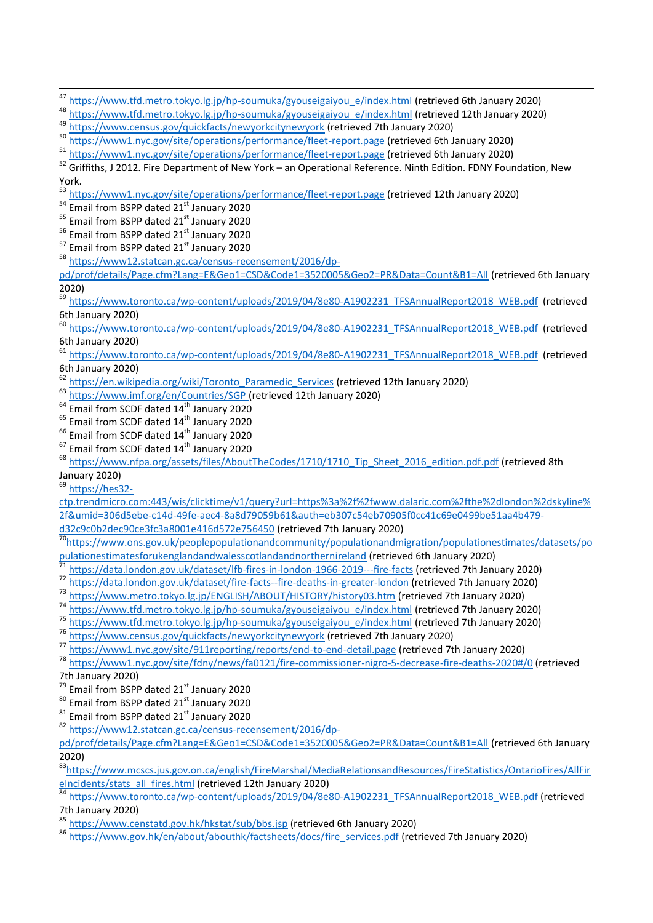<sup>47</sup> [https://www.tfd.metro.tokyo.lg.jp/hp-soumuka/gyouseigaiyou\\_e/index.html](https://www.tfd.metro.tokyo.lg.jp/hp-soumuka/gyouseigaiyou_e/index.html) (retrieved 6th January 2020)

- 48 [https://www.tfd.metro.tokyo.lg.jp/hp-soumuka/gyouseigaiyou\\_e/index.html](https://www.tfd.metro.tokyo.lg.jp/hp-soumuka/gyouseigaiyou_e/index.html) (retrieved 12th January 2020)
- <sup>49</sup> <https://www.census.gov/quickfacts/newyorkcitynewyork> (retrieved 7th January 2020)
- <sup>50</sup> <https://www1.nyc.gov/site/operations/performance/fleet-report.page> (retrieved 6th January 2020)
- 51 <https://www1.nyc.gov/site/operations/performance/fleet-report.page> (retrieved 6th January 2020)

<sup>52</sup> Griffiths, J 2012. Fire Department of New York – an Operational Reference. Ninth Edition. FDNY Foundation, New York.

<sup>53</sup> <https://www1.nyc.gov/site/operations/performance/fleet-report.page> (retrieved 12th January 2020)

54 Email from BSPP dated 21<sup>st</sup> January 2020

- <sup>55</sup> Email from BSPP dated 21<sup>st</sup> January 2020
- $<sup>56</sup>$  Email from BSPP dated 21 $<sup>st</sup>$  January 2020</sup></sup>
- $57$  Email from BSPP dated 21 $^{\rm st}$  January 2020
- <sup>58</sup> [https://www12.statcan.gc.ca/census-recensement/2016/dp-](https://www12.statcan.gc.ca/census-recensement/2016/dp-%20pd/prof/details/Page.cfm?Lang=E&Geo1=CSD&Code1=3520005&Geo2=PR&Data=Count&B1=All)

[pd/prof/details/Page.cfm?Lang=E&Geo1=CSD&Code1=3520005&Geo2=PR&Data=Count&B1=All](https://www12.statcan.gc.ca/census-recensement/2016/dp-%20pd/prof/details/Page.cfm?Lang=E&Geo1=CSD&Code1=3520005&Geo2=PR&Data=Count&B1=All) (retrieved 6th January 2020)

59 [https://www.toronto.ca/wp-content/uploads/2019/04/8e80-A1902231\\_TFSAnnualReport2018\\_WEB.pdf](https://www.toronto.ca/wp-content/uploads/2019/04/8e80-A1902231_TFSAnnualReport2018_WEB.pdf) (retrieved 6th January 2020)

<sup>60</sup> [https://www.toronto.ca/wp-content/uploads/2019/04/8e80-A1902231\\_TFSAnnualReport2018\\_WEB.pdf](https://www.toronto.ca/wp-content/uploads/2019/04/8e80-A1902231_TFSAnnualReport2018_WEB.pdf) (retrieved 6th January 2020)

<sup>61</sup> [https://www.toronto.ca/wp-content/uploads/2019/04/8e80-A1902231\\_TFSAnnualReport2018\\_WEB.pdf](https://www.toronto.ca/wp-content/uploads/2019/04/8e80-A1902231_TFSAnnualReport2018_WEB.pdf) (retrieved 6th January 2020)

- <sup>62</sup> [https://en.wikipedia.org/wiki/Toronto\\_Paramedic\\_Services](https://en.wikipedia.org/wiki/Toronto_Paramedic_Services) (retrieved 12th January 2020)
- <sup>63</sup> <https://www.imf.org/en/Countries/SGP> (retrieved 12th January 2020)
- $64$  Email from SCDF dated  $14<sup>th</sup>$  January 2020
- $65$  Email from SCDF dated  $14<sup>th</sup>$  January 2020
- <sup>66</sup> Email from SCDF dated 14<sup>th</sup> January 2020
- $67$  Email from SCDF dated  $14<sup>th</sup>$  January 2020

<sup>68</sup> [https://www.nfpa.org/assets/files/AboutTheCodes/1710/1710\\_Tip\\_Sheet\\_2016\\_edition.pdf.pdf](https://www.nfpa.org/assets/files/AboutTheCodes/1710/1710_Tip_Sheet_2016_edition.pdf.pdf) (retrieved 8th January 2020)

<sup>69</sup> [https://hes32-](https://hes32-ctp.trendmicro.com/wis/clicktime/v1/query?url=https%3a%2f%2fwww.dalaric.com%2fthe%2dlondon%2dskyline%2f&umid=306d5ebe-c14d-49fe-aec4-8a8d79059b61&auth=eb307c54eb70905f0cc41c69e0499be51aa4b479-d32c9c0b2dec90ce3fc3a8001e416d572e756450)

[ctp.trendmicro.com:443/wis/clicktime/v1/query?url=https%3a%2f%2fwww.dalaric.com%2fthe%2dlondon%2dskyline%](https://hes32-ctp.trendmicro.com/wis/clicktime/v1/query?url=https%3a%2f%2fwww.dalaric.com%2fthe%2dlondon%2dskyline%2f&umid=306d5ebe-c14d-49fe-aec4-8a8d79059b61&auth=eb307c54eb70905f0cc41c69e0499be51aa4b479-d32c9c0b2dec90ce3fc3a8001e416d572e756450) [2f&umid=306d5ebe-c14d-49fe-aec4-8a8d79059b61&auth=eb307c54eb70905f0cc41c69e0499be51aa4b479-](https://hes32-ctp.trendmicro.com/wis/clicktime/v1/query?url=https%3a%2f%2fwww.dalaric.com%2fthe%2dlondon%2dskyline%2f&umid=306d5ebe-c14d-49fe-aec4-8a8d79059b61&auth=eb307c54eb70905f0cc41c69e0499be51aa4b479-d32c9c0b2dec90ce3fc3a8001e416d572e756450)

[d32c9c0b2dec90ce3fc3a8001e416d572e756450](https://hes32-ctp.trendmicro.com/wis/clicktime/v1/query?url=https%3a%2f%2fwww.dalaric.com%2fthe%2dlondon%2dskyline%2f&umid=306d5ebe-c14d-49fe-aec4-8a8d79059b61&auth=eb307c54eb70905f0cc41c69e0499be51aa4b479-d32c9c0b2dec90ce3fc3a8001e416d572e756450) (retrieved 7th January 2020)

70[https://www.ons.gov.uk/peoplepopulationandcommunity/populationandmigration/populationestimates/datasets/po](https://www.ons.gov.uk/peoplepopulationandcommunity/populationandmigration/populationestimates/datasets/populationestimatesforukenglandandwalesscotlandandnorthernireland) [pulationestimatesforukenglandandwalesscotlandandnorthernireland](https://www.ons.gov.uk/peoplepopulationandcommunity/populationandmigration/populationestimates/datasets/populationestimatesforukenglandandwalesscotlandandnorthernireland) (retrieved 6th January 2020)

- <sup>71</sup> <https://data.london.gov.uk/dataset/lfb-fires-in-london-1966-2019---fire-facts> (retrieved 7th January 2020)
- <sup>72</sup> <https://data.london.gov.uk/dataset/fire-facts--fire-deaths-in-greater-london> (retrieved 7th January 2020)
- <sup>73</sup> <https://www.metro.tokyo.lg.jp/ENGLISH/ABOUT/HISTORY/history03.htm> (retrieved 7th January 2020)
- <sup>74</sup> [https://www.tfd.metro.tokyo.lg.jp/hp-soumuka/gyouseigaiyou\\_e/index.html](https://www.tfd.metro.tokyo.lg.jp/hp-soumuka/gyouseigaiyou_e/index.html) (retrieved 7th January 2020)
- 75 [https://www.tfd.metro.tokyo.lg.jp/hp-soumuka/gyouseigaiyou\\_e/index.html](https://www.tfd.metro.tokyo.lg.jp/hp-soumuka/gyouseigaiyou_e/index.html) (retrieved 7th January 2020)

<sup>76</sup> <https://www.census.gov/quickfacts/newyorkcitynewyork> (retrieved 7th January 2020)

<sup>77</sup> <https://www1.nyc.gov/site/911reporting/reports/end-to-end-detail.page> (retrieved 7th January 2020)

<sup>78</sup> <https://www1.nyc.gov/site/fdny/news/fa0121/fire-commissioner-nigro-5-decrease-fire-deaths-2020#/0> (retrieved 7th January 2020)

 $^{79}$  Email from BSPP dated 21 $^{st}$  January 2020

80 Email from BSPP dated 21<sup>st</sup> January 2020

- $81$  Email from BSPP dated 21st January 2020
- <sup>82</sup> [https://www12.statcan.gc.ca/census-recensement/2016/dp-](https://www12.statcan.gc.ca/census-recensement/2016/dp-%20pd/prof/details/Page.cfm?Lang=E&Geo1=CSD&Code1=3520005&Geo2=PR&Data=Count&B1=All)

[pd/prof/details/Page.cfm?Lang=E&Geo1=CSD&Code1=3520005&Geo2=PR&Data=Count&B1=All](https://www12.statcan.gc.ca/census-recensement/2016/dp-%20pd/prof/details/Page.cfm?Lang=E&Geo1=CSD&Code1=3520005&Geo2=PR&Data=Count&B1=All) (retrieved 6th January 2020)

<sup>83</sup>[https://www.mcscs.jus.gov.on.ca/english/FireMarshal/MediaRelationsandResources/FireStatistics/OntarioFires/AllFir](https://www.mcscs.jus.gov.on.ca/english/FireMarshal/MediaRelationsandResources/FireStatistics/OntarioFires/AllFireIncidents/stats_all_fires.html) elncidents/stats\_all\_fires.html (retrieved 12th January 2020)

<sup>84</sup> [https://www.toronto.ca/wp-content/uploads/2019/04/8e80-A1902231\\_TFSAnnualReport2018\\_WEB.pdf](https://www.toronto.ca/wp-content/uploads/2019/04/8e80-A1902231_TFSAnnualReport2018_WEB.pdf) (retrieved 7th January 2020)

<sup>85</sup> <https://www.censtatd.gov.hk/hkstat/sub/bbs.jsp> (retrieved 6th January 2020)

86 [https://www.gov.hk/en/about/abouthk/factsheets/docs/fire\\_services.pdf](https://www.gov.hk/en/about/abouthk/factsheets/docs/fire_services.pdf) (retrieved 7th January 2020)